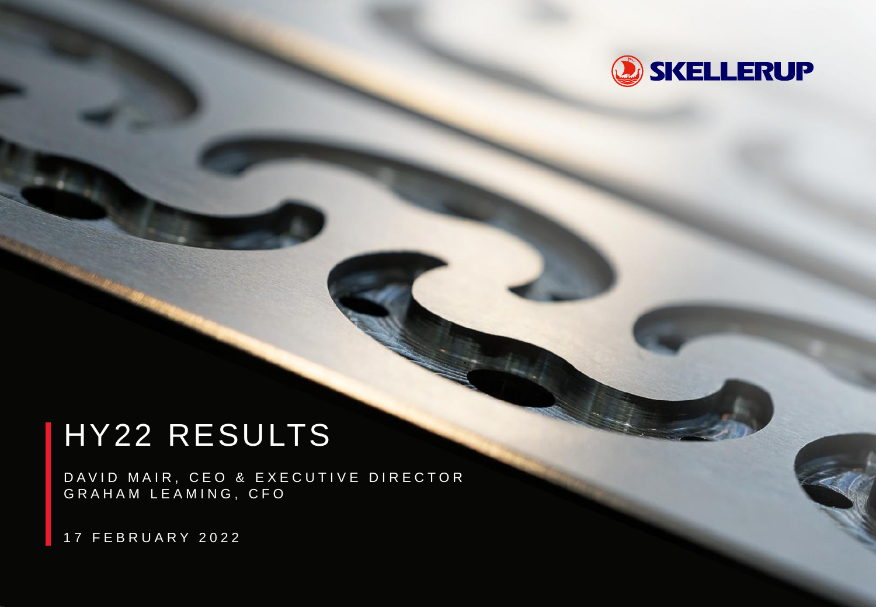

# HY22 RESULTS

DAVID MAIR, CEO & EXECUTIVE DIRECTOR G R A H A M L E A M I N G , C F O

1 7 F E B R U A R Y 2 0 2 2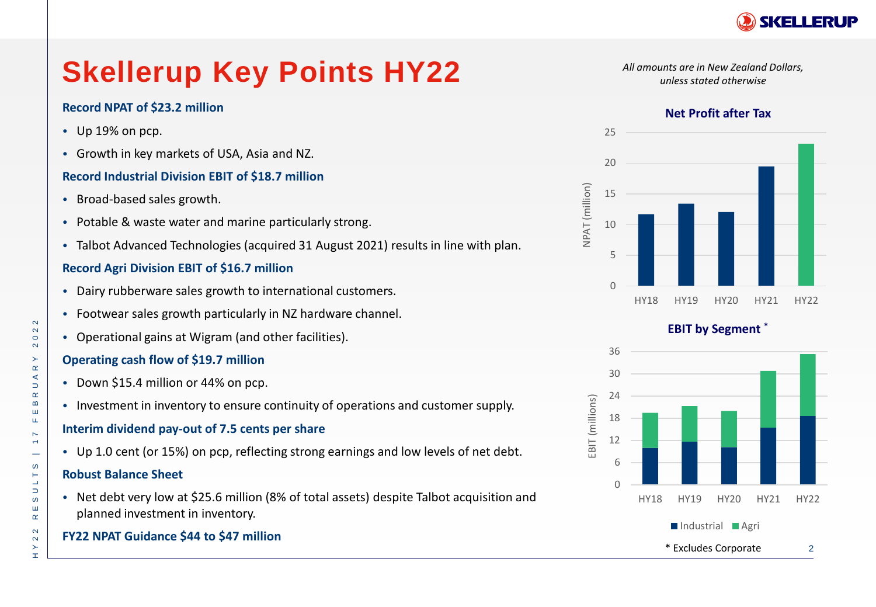

# **Skellerup Key Points HY22**

#### **Record NPAT of \$23.2 million**

- Up 19% on pcp.
- Growth in key markets of USA, Asia and NZ.

#### **Record Industrial Division EBIT of \$18.7 million**

- Broad-based sales growth.
- Potable & waste water and marine particularly strong.
- Talbot Advanced Technologies (acquired 31 August 2021) results in line with plan.

#### **Record Agri Division EBIT of \$16.7 million**

- Dairy rubberware sales growth to international customers.
- Footwear sales growth particularly in NZ hardware channel.
- Operational gains at Wigram (and other facilities).

#### **Operating cash flow of \$19.7 million**

- Down \$15.4 million or 44% on pcp.
- Investment in inventory to ensure continuity of operations and customer supply.

#### **Interim dividend pay-out of 7.5 cents per share**

• Up 1.0 cent (or 15%) on pcp, reflecting strong earnings and low levels of net debt.

#### **Robust Balance Sheet**

• Net debt very low at \$25.6 million (8% of total assets) despite Talbot acquisition and planned investment in inventory.

### **FY22 NPAT Guidance \$44 to \$47 million**

*All amounts are in New Zealand Dollars, unless stated otherwise*

#### **Net Profit after Tax**



**EBIT by Segment \***

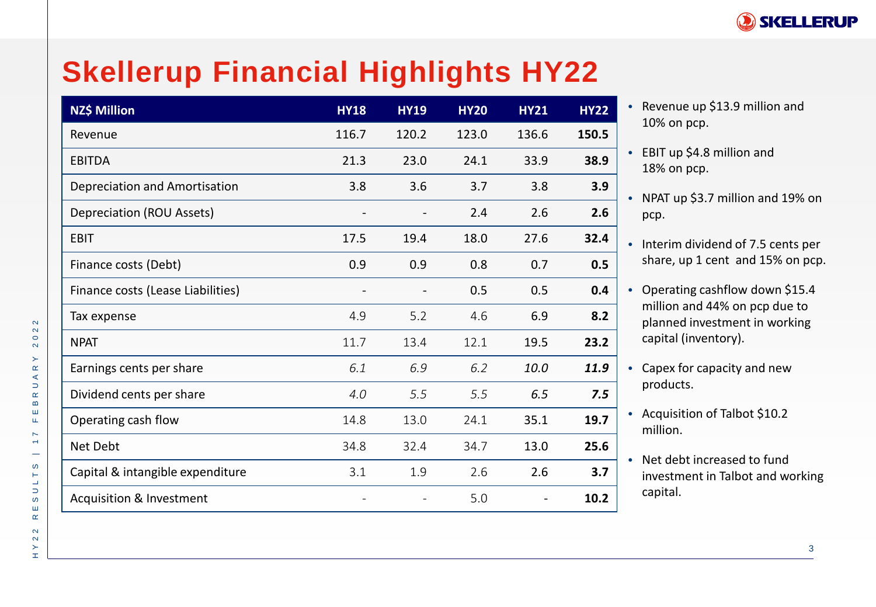

# **Skellerup Financial Highlights HY22**

| NZ\$ Million                        | <b>HY18</b> | <b>HY19</b> | <b>HY20</b> | <b>HY21</b> | <b>HY22</b> |
|-------------------------------------|-------------|-------------|-------------|-------------|-------------|
| Revenue                             | 116.7       | 120.2       | 123.0       | 136.6       | 150.5       |
| <b>EBITDA</b>                       | 21.3        | 23.0        | 24.1        | 33.9        | 38.9        |
| Depreciation and Amortisation       | 3.8         | 3.6         | 3.7         | 3.8         | 3.9         |
| Depreciation (ROU Assets)           |             |             | 2.4         | 2.6         | 2.6         |
| <b>EBIT</b>                         | 17.5        | 19.4        | 18.0        | 27.6        | 32.4        |
| Finance costs (Debt)                | 0.9         | 0.9         | 0.8         | 0.7         | 0.5         |
| Finance costs (Lease Liabilities)   |             |             | 0.5         | 0.5         | 0.4         |
| Tax expense                         | 4.9         | 5.2         | 4.6         | 6.9         | 8.2         |
| <b>NPAT</b>                         | 11.7        | 13.4        | 12.1        | 19.5        | 23.2        |
| Earnings cents per share            | 6.1         | 6.9         | 6.2         | 10.0        | 11.9        |
| Dividend cents per share            | 4.0         | 5.5         | 5.5         | 6.5         | 7.5         |
| Operating cash flow                 | 14.8        | 13.0        | 24.1        | 35.1        | 19.7        |
| Net Debt                            | 34.8        | 32.4        | 34.7        | 13.0        | 25.6        |
| Capital & intangible expenditure    | 3.1         | 1.9         | 2.6         | 2.6         | 3.7         |
| <b>Acquisition &amp; Investment</b> |             |             | 5.0         |             | 10.2        |

- Revenue up \$13.9 million and 10% on pcp.
- EBIT up \$4.8 million and 18% on pcp.
- NPAT up \$3.7 million and 19% on pcp.
- Interim dividend of 7.5 cents per share, up 1 cent and 15% on pcp.
- Operating cashflow down \$15.4 million and 44% on pcp due to planned investment in working capital (inventory).
- Capex for capacity and new products.
- Acquisition of Talbot \$10.2 million.
- Net debt increased to fund investment in Talbot and working capital.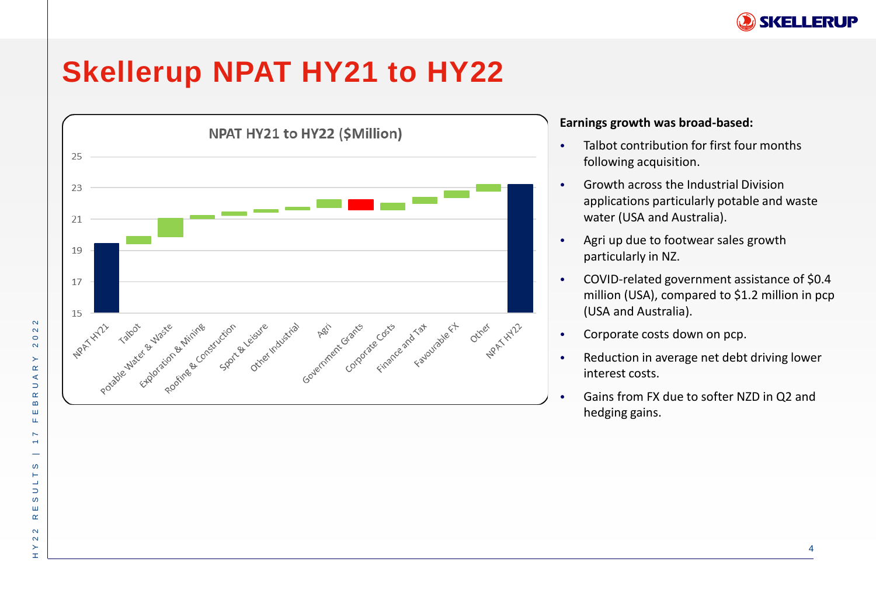

### **Skellerup NPAT HY21 to HY22**



#### **Earnings growth was broad-based:**

- Talbot contribution for first four months following acquisition.
- Growth across the Industrial Division applications particularly potable and waste water (USA and Australia).
- Agri up due to footwear sales growth particularly in NZ.
- COVID-related government assistance of \$0.4 million (USA), compared to \$1.2 million in pcp (USA and Australia).
- Corporate costs down on pcp.
- Reduction in average net debt driving lower interest costs.
- Gains from FX due to softer NZD in Q2 and hedging gains.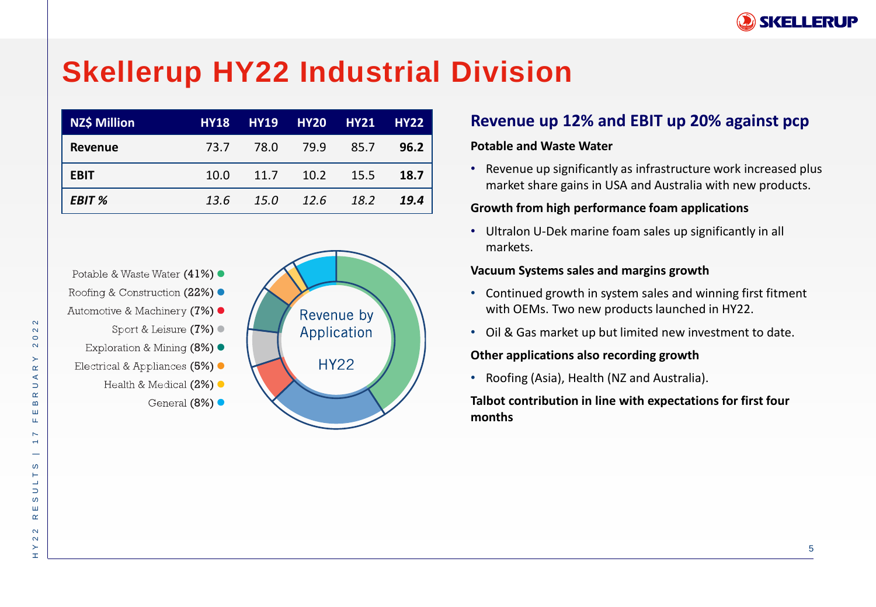

## **Skellerup HY22 Industrial Division**

| <b>NZ\$ Million</b> | <b>HY18</b> |      | HY19 HY20 HY21 HY22 |        |      |
|---------------------|-------------|------|---------------------|--------|------|
| Revenue             | 73.7        | 78.0 | 79.9                | - 85.7 | 96.2 |
| <b>EBIT</b>         | 10.0        | 11.7 | 10.2                | 15.5   | 18.7 |
| EBIT %              | 13.6        | 15.0 | 12.6                | 18.2   | 19.4 |

Potable & Waste Water (41%) ● Roofing & Construction (22%) ●

- Automotive & Machinery (7%)
	- Sport & Leisure (7%)
	- Exploration & Mining (8%) ●
- Electrical & Appliances (5%) ·
	- Health & Medical  $(2\%)$ 
		- General  $(8\%)$



### **Revenue up 12% and EBIT up 20% against pcp**

#### **Potable and Waste Water**

• Revenue up significantly as infrastructure work increased plus market share gains in USA and Australia with new products.

#### **Growth from high performance foam applications**

• Ultralon U-Dek marine foam sales up significantly in all markets.

#### **Vacuum Systems sales and margins growth**

- Continued growth in system sales and winning first fitment with OEMs. Two new products launched in HY22.
- Oil & Gas market up but limited new investment to date.

#### **Other applications also recording growth**

• Roofing (Asia), Health (NZ and Australia).

**Talbot contribution in line with expectations for first four months**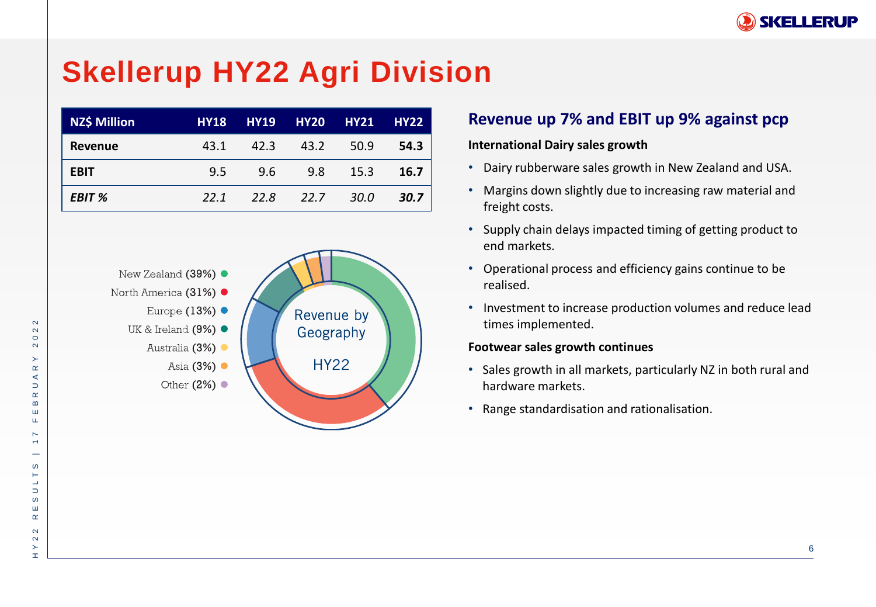

## **Skellerup HY22 Agri Division**

| <b>NZ\$ Million</b> | <b>HY18</b> | <b>HY19</b> | <b>HY20 HY21</b> |      | <b>HY22</b> |
|---------------------|-------------|-------------|------------------|------|-------------|
| Revenue             | 43.1        | 42.3        | 43.2             | 50.9 | 54.3        |
| <b>EBIT</b>         | 9.5         | 9.6         | 9.8              | 15.3 | 16.7        |
| <b>EBIT %</b>       | 22.1        | 22.8        | 22.7             | 30.0 | 30.7        |



### **Revenue up 7% and EBIT up 9% against pcp**

#### **International Dairy sales growth**

- Dairy rubberware sales growth in New Zealand and USA.
- Margins down slightly due to increasing raw material and freight costs.
- Supply chain delays impacted timing of getting product to end markets.
- Operational process and efficiency gains continue to be realised.
- Investment to increase production volumes and reduce lead times implemented.

#### **Footwear sales growth continues**

- Sales growth in all markets, particularly NZ in both rural and hardware markets.
- Range standardisation and rationalisation.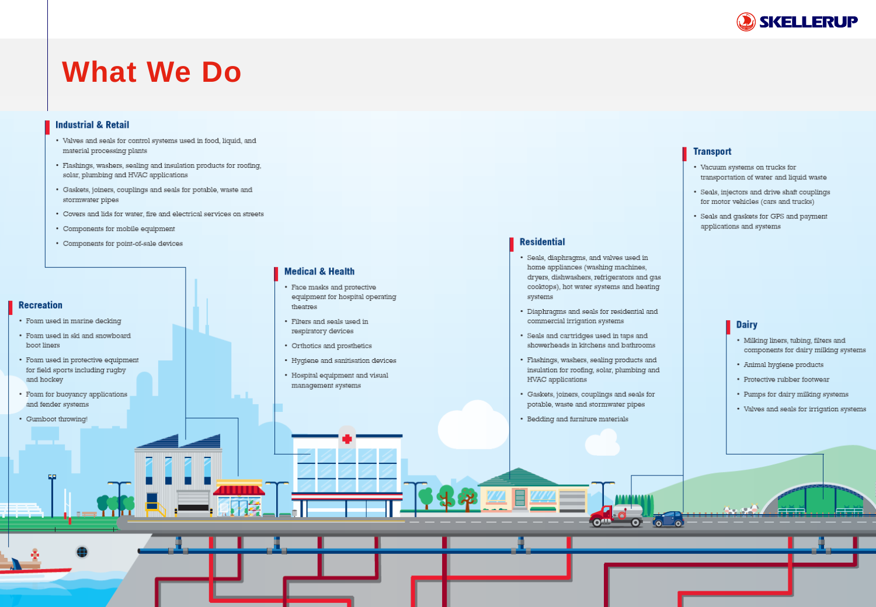

### **What We Do**

#### **Industrial & Retail**

- Valves and seals for control systems used in food, liquid, and material processing plants
- · Flashings, washers, sealing and insulation products for roofing, solar, plumbing and HVAC applications
- Gaskets, joiners, couplings and seals for potable, waste and stormwater pipes
- Covers and lids for water, fire and electrical services on streets
- Components for mobile equipment
- Components for point-of-sale devices

#### **Recreation**

- · Foam used in marine decking
- Foam used in ski and snowboard boot liners
- H Y 2 2 R E S U L T S | 1 7 F E B R U A R Y 2 0 2 2 · Foam used in protective equipment for field sports including rugby and hockey
- Foam for buoyancy applications and fender systems
- Gumboot throwing!

#### **Medical & Health**

- Face masks and protective equipment for hospital operating theatres
- Filters and seals used in respiratory devices
- Orthotics and prosthetics
- Hygiene and sanitisation devices
- Hospital equipment and visual management systems

#### **Transport**

**Residential** 

systems

· Seals, diaphragms, and valves used in home appliances (washing machines,

dryers, dishwashers, refrigerators and gas cooktops), hot water systems and heating

• Diaphragms and seals for residential and

showerheads in kitchens and bathrooms

· Flashings, washers, sealing products and

• Gaskets, joiners, couplings and seals for

potable, waste and stormwater pipes

• Bedding and furniture materials

insulation for roofing, solar, plumbing and

**Official** 

• Seals and cartridges used in taps and

commercial irrigation systems

HVAC applications

- Vacuum systems on trucks for transportation of water and liquid waste
- · Seals, injectors and drive shaft couplings for motor vehicles (cars and trucks)
- Seals and gaskets for GPS and payment applications and systems

- **Dairy**
- Milking liners, tubing, filters and components for dairy milking systems
- · Animal hygiene products
- Protective rubber footwear
- Pumps for dairy milking systems
- Valves and seals for irrigation systems

7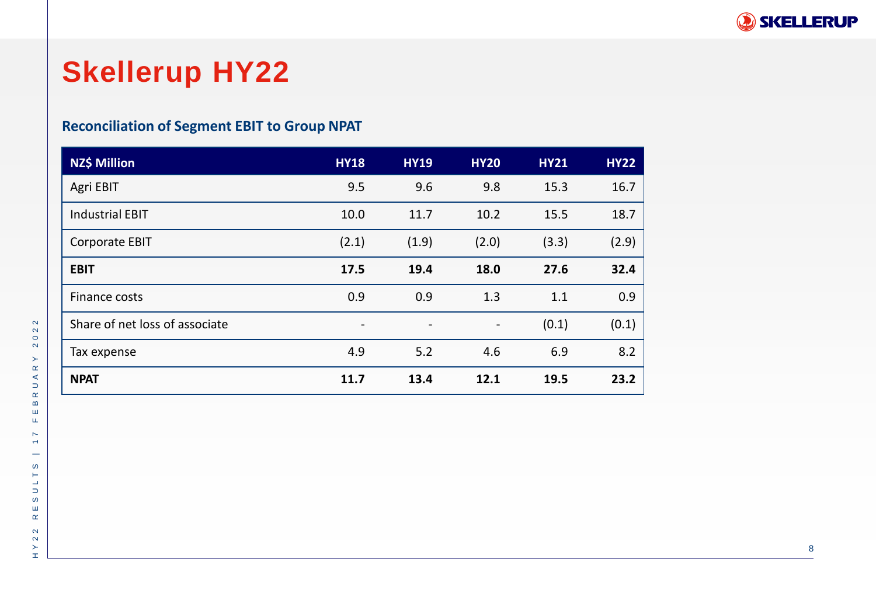

## **Skellerup HY22**

### **Reconciliation of Segment EBIT to Group NPAT**

| NZ\$ Million                   | <b>HY18</b>              | <b>HY19</b>              | <b>HY20</b>    | <b>HY21</b> | <b>HY22</b> |
|--------------------------------|--------------------------|--------------------------|----------------|-------------|-------------|
| Agri EBIT                      | 9.5                      | 9.6                      | 9.8            | 15.3        | 16.7        |
| <b>Industrial EBIT</b>         | 10.0                     | 11.7                     | 10.2           | 15.5        | 18.7        |
| <b>Corporate EBIT</b>          | (2.1)                    | (1.9)                    | (2.0)          | (3.3)       | (2.9)       |
| <b>EBIT</b>                    | 17.5                     | 19.4                     | 18.0           | 27.6        | 32.4        |
| Finance costs                  | 0.9                      | 0.9                      | 1.3            | 1.1         | 0.9         |
| Share of net loss of associate | $\overline{\phantom{a}}$ | $\overline{\phantom{a}}$ | $\blacksquare$ | (0.1)       | (0.1)       |
| Tax expense                    | 4.9                      | 5.2                      | 4.6            | 6.9         | 8.2         |
| <b>NPAT</b>                    | 11.7                     | 13.4                     | 12.1           | 19.5        | 23.2        |

 $\sim$